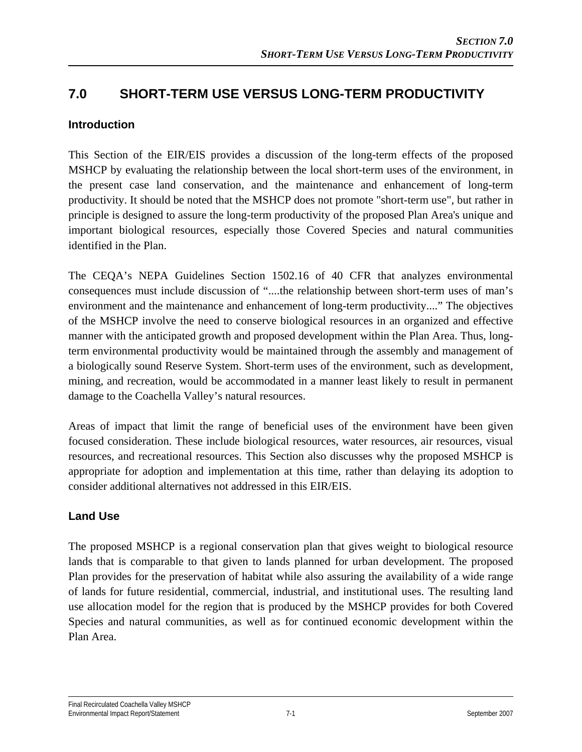# **7.0 SHORT-TERM USE VERSUS LONG-TERM PRODUCTIVITY**

#### **Introduction**

This Section of the EIR/EIS provides a discussion of the long-term effects of the proposed MSHCP by evaluating the relationship between the local short-term uses of the environment, in the present case land conservation, and the maintenance and enhancement of long-term productivity. It should be noted that the MSHCP does not promote "short-term use", but rather in principle is designed to assure the long-term productivity of the proposed Plan Area's unique and important biological resources, especially those Covered Species and natural communities identified in the Plan.

The CEQA's NEPA Guidelines Section 1502.16 of 40 CFR that analyzes environmental consequences must include discussion of "....the relationship between short-term uses of man's environment and the maintenance and enhancement of long-term productivity...." The objectives of the MSHCP involve the need to conserve biological resources in an organized and effective manner with the anticipated growth and proposed development within the Plan Area. Thus, longterm environmental productivity would be maintained through the assembly and management of a biologically sound Reserve System. Short-term uses of the environment, such as development, mining, and recreation, would be accommodated in a manner least likely to result in permanent damage to the Coachella Valley's natural resources.

Areas of impact that limit the range of beneficial uses of the environment have been given focused consideration. These include biological resources, water resources, air resources, visual resources, and recreational resources. This Section also discusses why the proposed MSHCP is appropriate for adoption and implementation at this time, rather than delaying its adoption to consider additional alternatives not addressed in this EIR/EIS.

### **Land Use**

The proposed MSHCP is a regional conservation plan that gives weight to biological resource lands that is comparable to that given to lands planned for urban development. The proposed Plan provides for the preservation of habitat while also assuring the availability of a wide range of lands for future residential, commercial, industrial, and institutional uses. The resulting land use allocation model for the region that is produced by the MSHCP provides for both Covered Species and natural communities, as well as for continued economic development within the Plan Area.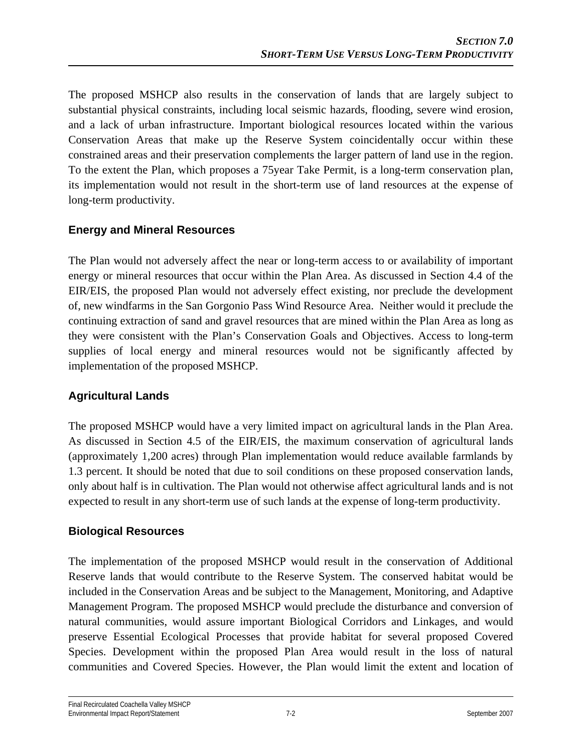The proposed MSHCP also results in the conservation of lands that are largely subject to substantial physical constraints, including local seismic hazards, flooding, severe wind erosion, and a lack of urban infrastructure. Important biological resources located within the various Conservation Areas that make up the Reserve System coincidentally occur within these constrained areas and their preservation complements the larger pattern of land use in the region. To the extent the Plan, which proposes a 75year Take Permit, is a long-term conservation plan, its implementation would not result in the short-term use of land resources at the expense of long-term productivity.

## **Energy and Mineral Resources**

The Plan would not adversely affect the near or long-term access to or availability of important energy or mineral resources that occur within the Plan Area. As discussed in Section 4.4 of the EIR/EIS, the proposed Plan would not adversely effect existing, nor preclude the development of, new windfarms in the San Gorgonio Pass Wind Resource Area. Neither would it preclude the continuing extraction of sand and gravel resources that are mined within the Plan Area as long as they were consistent with the Plan's Conservation Goals and Objectives. Access to long-term supplies of local energy and mineral resources would not be significantly affected by implementation of the proposed MSHCP.

### **Agricultural Lands**

The proposed MSHCP would have a very limited impact on agricultural lands in the Plan Area. As discussed in Section 4.5 of the EIR/EIS, the maximum conservation of agricultural lands (approximately 1,200 acres) through Plan implementation would reduce available farmlands by 1.3 percent. It should be noted that due to soil conditions on these proposed conservation lands, only about half is in cultivation. The Plan would not otherwise affect agricultural lands and is not expected to result in any short-term use of such lands at the expense of long-term productivity.

### **Biological Resources**

The implementation of the proposed MSHCP would result in the conservation of Additional Reserve lands that would contribute to the Reserve System. The conserved habitat would be included in the Conservation Areas and be subject to the Management, Monitoring, and Adaptive Management Program. The proposed MSHCP would preclude the disturbance and conversion of natural communities, would assure important Biological Corridors and Linkages, and would preserve Essential Ecological Processes that provide habitat for several proposed Covered Species. Development within the proposed Plan Area would result in the loss of natural communities and Covered Species. However, the Plan would limit the extent and location of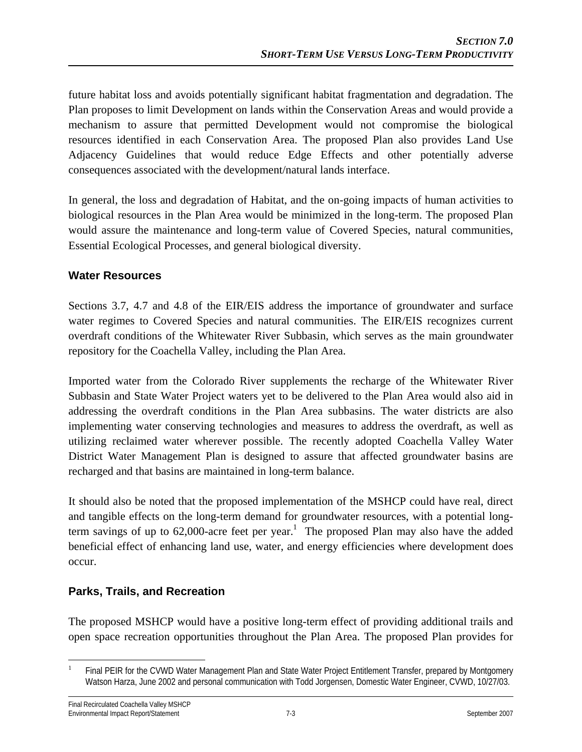future habitat loss and avoids potentially significant habitat fragmentation and degradation. The Plan proposes to limit Development on lands within the Conservation Areas and would provide a mechanism to assure that permitted Development would not compromise the biological resources identified in each Conservation Area. The proposed Plan also provides Land Use Adjacency Guidelines that would reduce Edge Effects and other potentially adverse consequences associated with the development/natural lands interface.

In general, the loss and degradation of Habitat, and the on-going impacts of human activities to biological resources in the Plan Area would be minimized in the long-term. The proposed Plan would assure the maintenance and long-term value of Covered Species, natural communities, Essential Ecological Processes, and general biological diversity.

#### **Water Resources**

Sections 3.7, 4.7 and 4.8 of the EIR/EIS address the importance of groundwater and surface water regimes to Covered Species and natural communities. The EIR/EIS recognizes current overdraft conditions of the Whitewater River Subbasin, which serves as the main groundwater repository for the Coachella Valley, including the Plan Area.

Imported water from the Colorado River supplements the recharge of the Whitewater River Subbasin and State Water Project waters yet to be delivered to the Plan Area would also aid in addressing the overdraft conditions in the Plan Area subbasins. The water districts are also implementing water conserving technologies and measures to address the overdraft, as well as utilizing reclaimed water wherever possible. The recently adopted Coachella Valley Water District Water Management Plan is designed to assure that affected groundwater basins are recharged and that basins are maintained in long-term balance.

It should also be noted that the proposed implementation of the MSHCP could have real, direct and tangible effects on the long-term demand for groundwater resources, with a potential longterm savings of up to 62,000-acre feet per year.<sup>1</sup> The proposed Plan may also have the added beneficial effect of enhancing land use, water, and energy efficiencies where development does occur.

### **Parks, Trails, and Recreation**

The proposed MSHCP would have a positive long-term effect of providing additional trails and open space recreation opportunities throughout the Plan Area. The proposed Plan provides for

 $\overline{a}$ 1 Final PEIR for the CVWD Water Management Plan and State Water Project Entitlement Transfer, prepared by Montgomery Watson Harza, June 2002 and personal communication with Todd Jorgensen, Domestic Water Engineer, CVWD, 10/27/03.